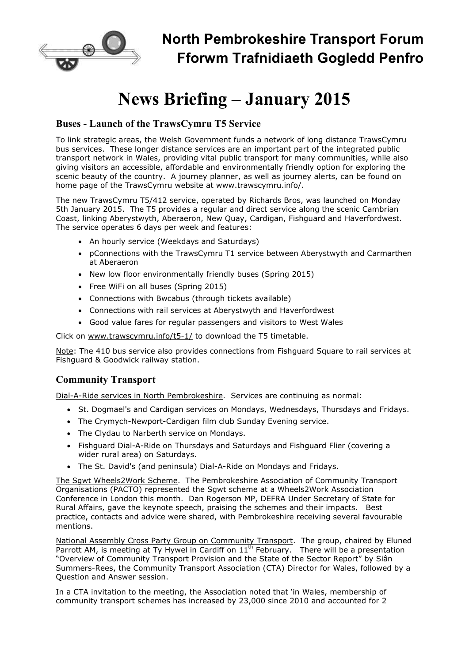

# **News Briefing – January 2015**

## **Buses - Launch of the TrawsCymru T5 Service**

To link strategic areas, the Welsh Government funds a network of long distance TrawsCymru bus services. These longer distance services are an important part of the integrated public transport network in Wales, providing vital public transport for many communities, while also giving visitors an accessible, affordable and environmentally friendly option for exploring the scenic beauty of the country. A journey planner, as well as journey alerts, can be found on home page of the TrawsCymru website at www.trawscymru.info/.

The new TrawsCymru T5/412 service, operated by Richards Bros, was launched on Monday 5th January 2015. The T5 provides a regular and direct service along the scenic Cambrian Coast, linking Aberystwyth, Aberaeron, New Quay, Cardigan, Fishguard and Haverfordwest. The service operates 6 days per week and features:

- An hourly service (Weekdays and Saturdays)
- pConnections with the TrawsCymru T1 service between Aberystwyth and Carmarthen at Aberaeron
- New low floor environmentally friendly buses (Spring 2015)
- Free WiFi on all buses (Spring 2015)
- Connections with Bwcabus (through tickets available)
- Connections with rail services at Aberystwyth and Haverfordwest
- Good value fares for regular passengers and visitors to West Wales

Click on www.trawscymru.info/t5-1/ to download the T5 timetable.

Note: The 410 bus service also provides connections from Fishguard Square to rail services at Fishguard & Goodwick railway station.

### **Community Transport**

Dial-A-Ride services in North Pembrokeshire. Services are continuing as normal:

- St. Dogmael's and Cardigan services on Mondays, Wednesdays, Thursdays and Fridays.
- The Crymych-Newport-Cardigan film club Sunday Evening service.
- The Clydau to Narberth service on Mondays.
- Fishguard Dial-A-Ride on Thursdays and Saturdays and Fishguard Flier (covering a wider rural area) on Saturdays.
- The St. David's (and peninsula) Dial-A-Ride on Mondays and Fridays.

The Sgwt Wheels2Work Scheme. The Pembrokeshire Association of Community Transport Organisations (PACTO) represented the Sgwt scheme at a Wheels2Work Association Conference in London this month. Dan Rogerson MP, DEFRA Under Secretary of State for Rural Affairs, gave the keynote speech, praising the schemes and their impacts. Best practice, contacts and advice were shared, with Pembrokeshire receiving several favourable mentions.

National Assembly Cross Party Group on Community Transport. The group, chaired by Eluned Parrott AM, is meeting at Ty Hywel in Cardiff on  $11<sup>th</sup>$  February. There will be a presentation "Overview of Community Transport Provision and the State of the Sector Report" by Siân Summers-Rees, the Community Transport Association (CTA) Director for Wales, followed by a Question and Answer session.

In a CTA invitation to the meeting, the Association noted that 'in Wales, membership of community transport schemes has increased by 23,000 since 2010 and accounted for 2